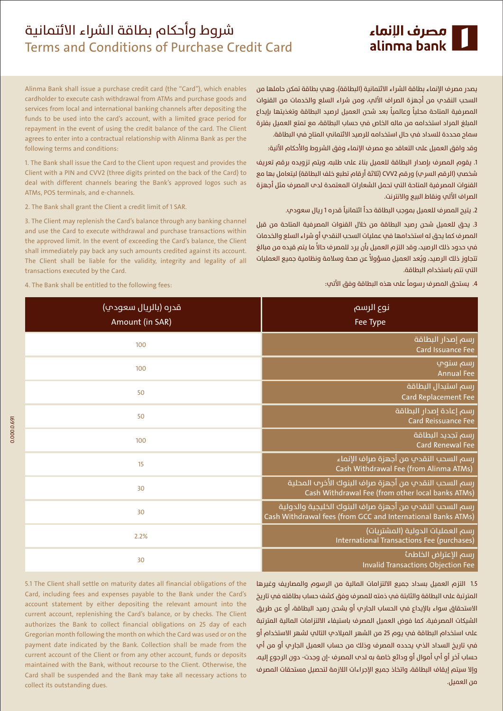# شروط وأحكام بطاقة الشراء الائتمانية Terms and Conditions of Purchase Credit Card

Alinma Bank shall issue a purchase credit card (the "Card"), which enables

cardholder to execute cash withdrawal from ATMs and purchase goods and

services from local and international banking channels after depositing the

funds to be used into the card's account, with a limited grace period for

repayment in the event of using the credit balance of the card. The Client

agrees to enter into a contractual relationship with Alinma Bank as per the

1. The Bank shall issue the Card to the Client upon request and provides the Client with a PIN and CVV2 (three digits printed on the back of the Card) to

deal with different channels bearing the Bank's approved logos such as

3. The Client may replenish the Card's balance through any banking channel

and use the Card to execute withdrawal and purchase transactions within

the approved limit. In the event of exceeding the Card's balance, the Client

shall immediately pay back any such amounts credited against its account.

يصدر مصرف الإنماء بطاقة الشراء الائتمانية (البطاقة)، وهي بطاقة تمكن حاملها من السحب النقدي من أجهزة الصراف الآلى، ومن شراء السلع والخدمات من القنوات المصرفية المتاحة محلياً وعالمياً بعد شحن العميل لرصيد البطاقة وتغذيتها بإيداع المبلغ المراد استخدامه من ماله الخاص في حساب البطاقة، مع تمتع العميل بفترة سماح محددة للسداد في حال استخدامه للرصيد الائتماني المتاح في البطاقة.

وقد وافق العميل علم التعاقد مع مصرف الإنماء وفق الشروط والأحكام الآتية:

1. يقوم المصرف بإصدار البطاقة للعميل بناءً علم طلبه، ويتم تزويده برقم تعريف شخصب (الرقم السرب) ورقم CVV2 (ثلاثة أرقام تطبع خلف البطاقة) ليتعامل بها مع القنوات المصرفية المتاحة التي تحمل الشعارات المعتمدة لدب المصرف مثل أجهزة الصراف الآلب ونقاط البيع والانترنت.

2. يتيح المصرف للعميل بموجب البطاقة حداً ائتمانياً قدره1 ريال سعودي.

3. يحق للعميل شحن رصيد البطاقة من خلال القنوات المصرفية المتاحة من قبل المصرف كما يحق له استخدامها في عمليات السحب النقدي أو شراء السلع والخدمات في حدود ذلك الرصيد، وقد التزم العميل بأن يرد للمصرف حالاً ما يتم قيده من مبالغ تتجاوز ذلك الرصيد، ويُعد العميل مسؤولاً عن صحة وسلامة ونظامية جميع العمليات التي تتم باستخدام البطاقة.

4. يستحق المصرف رسوماً علم هذه البطاقة وفق الآتمِ:

The Client shall be liable for the validity, integrity and legality of all

4. The Bank shall be entitled to the following fees:

2. The Bank shall grant the Client a credit limit of 1 SAR.

following terms and conditions:

ATMs. POS terminals, and e-channels.

transactions executed by the Card.

| نوع الرسم<br>Fee Type                                                                                                   | قدره (بالريال سعودپ)<br>Amount (in SAR) |
|-------------------------------------------------------------------------------------------------------------------------|-----------------------------------------|
| رسم إصدار البطاقة<br>Card Issuance Fee                                                                                  | 100                                     |
| رسم سنوپ<br><b>Annual Fee</b>                                                                                           | 100                                     |
| رسم استبدال البطاقة<br>Card Replacement Fee                                                                             | 50                                      |
| رسم إعادة إصدار البطاقة<br>Card Reissuance Fee                                                                          | 50                                      |
| رسم تجديد البطاقة<br><b>Card Renewal Fee</b>                                                                            | 100                                     |
| رسم السحب النقدي من أجهزة صراف الإنماء<br>Cash Withdrawal Fee (from Alinma ATMs)                                        | 15                                      |
| رسم السحب النقدي من أجهزة صراف البنوك الأخرم المحلية<br>Cash Withdrawal Fee (from other local banks ATMs)               | 30                                      |
| رسم السحب النقدي من أجهزة صراف البنوك الخليجية والدولية<br>Cash Withdrawal fees (from GCC and International Banks ATMs) | 30                                      |
| رسم العمليات الدولية (المشتريات)<br>International Transactions Fee (purchases)                                          | 2.2%                                    |
| رسم الإعتراض الخاطمأ<br>Invalid Transactions Objection Fee                                                              | 30                                      |

5.1 The Client shall settle on maturity dates all financial obligations of the Card, including fees and expenses payable to the Bank under the Card's account statement by either depositing the relevant amount into the current account, replenishing the Card's balance, or by checks. The Client authorizes the Bank to collect financial obligations on 25 day of each Gregorian month following the month on which the Card was used or on the payment date indicated by the Bank. Collection shall be made from the current account of the Client or from any other account, funds or deposits maintained with the Bank, without recourse to the Client. Otherwise, the Card shall be suspended and the Bank may take all necessary actions to collect its outstanding dues.

1.5 التزم العميل بسداد جميع الالتزامات المالية من الرسوم والمصاريف وغيرها .<br>المترتبة على البطاقة والثابتة في ذمته للمصرف وفق كشف حساب بطاقته في تاريخ الاستحقاق سواء بالإيداع في الحساب الجاري أو بشحن رصيد البطاقة، أو عن طريق الشيكات المصرفية، كما فوض العميل المصرف باستيفاء الالتزامات المالية المترتبة علم استخدام البطاقة في يوم 25 من الشهر الميلادي التالي لشهر الاستخدام أو في تاريخ السداد الذي يحدده المصرف وذلك من حساب العميل الجاري أو من أي حساب آخر أو أب أموال أو ودائع خاصة به لدم المصرف -إن وجدت- دون الرجوع إليه، وإلا سيتم إيقاف البطاقة، واتخاذ جميع الإجراءات اللازمة لتحصيل مستحقات المصرف من العميل.

0.000.0691

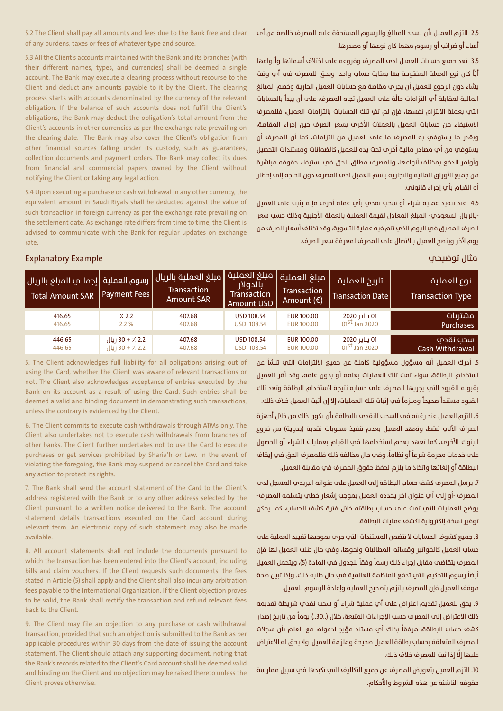2.5 التزم العميل بأن يسدد المبالغ والرسوم المستحقة عليه للمصرف خالصة من أب اعباء او ضرائب او رسوم مهما کان نوعها او مصدرها.

5.2 The Client shall pay all amounts and fees due to the Bank free and clear of any burdens, taxes or fees of whatever type and source.

> .<br>3.5 تعد جميع حسابات العميل لدم المصرف وفروعه على اختلاف أسمائها وأنواعها .<br>أيّاً كان نوع العملة المفتوحة بها بمثابة حساب واحد، ويحق للمصرف في أب وقت Ï .<br>يشاء دون الرجوع للعميل أن يجر<sup>ّ</sup> مقاصة مع حسابات العميل الجارية وخصم المبالغ .<br>المالية لمقابلة أب التزامات حالَّة على العميل تجاه المصرف، على أن يبدأ بالحسابات التي بعملة الالتزام نفسها، فإن لم تفِ تلك الحسابات بالتزامات العميل، فللمصرف الاستيفاء من حسابات العميل بالعملات الأخر v بسعر الصرف حين إجراء المقاصة، وبقدر ما يستوفمي به المصرف ما علم العميل من التزامات، كما أن للمصرف أن يستوفي من أب مصادر مالية أخر ب تحت يده للعميل كالضمانات ومستندات التحصيل وأوامر الدفع بمختلف أنواعها، وللمصرف مطلق الحق في استيفاء حقوقه مباشرة من جميع الأوراق المالية والتجارية باسم العميل لدم المصرف دون الحاجة إلى إخطار أو القيام بأي إجراء قانوني.

4.5 عند تنفيذ عملية شراء أو سحب نقدي بأي عملة أخر منفإنه يثبت علم العميل -بالريال السعودي- المبلغ المعادل لقيمة العملية بالعملة الأجنبية وذلك حسب سعر الصرف المطبق في اليوم الذي تتم فيه عملية التسوية، وقد تختلف أسعار الصرف من يوم لآخر وينصح العميل بالاتصال على المصرف لمعرفة سعر الصرف.

5.3 All the Client's accounts maintained with the Bank and its branches (with their different names, types, and currencies) shall be deemed a single account. The Bank may execute a clearing process without recourse to the Client and deduct any amounts payable to it by the Client. The clearing process starts with accounts denominated by the currency of the relevant obligation. If the balance of such accounts does not fulfill the Client's obligations, the Bank may deduct the obligation's total amount from the Client's accounts in other currencies as per the exchange rate prevailing on the clearing date. The Bank may also cover the Client's obligation from other financial sources falling under its custody, such as guarantees, collection documents and payment orders. The Bank may collect its dues from financial and commercial papers owned by the Client without notifying the Client or taking any legal action.

5.4 Upon executing a purchase or cash withdrawal in any other currency, the equivalent amount in Saudi Riyals shall be deducted against the value of such transaction in foreign currency as per the exchange rate prevailing on the settlement date. As exchange rate differs from time to time, the Client is advised to communicate with the Bank for regular updates on exchange rate.

## مثال توضيحي المسلمين المسلمين المسلمين المسلمين المسلمين المسلمين المسلمين المسلمين المسلمين المسلمين المسلمين

| ˈرسوم العملية  إجمالي المبلغ بالريال <br><b>Total Amount SAR</b> | Payment Fees                 | مبلغ العملية بالريال  <br><b>Transaction</b><br><b>Amount SAR</b> | <b>  مبلغ العملية  </b><br>بالدولار<br><b>Transaction</b><br>Amount USD | مبلغ العملية  <br>Transaction<br>Amount $(\epsilon)$ | تاريخ العملية<br><b>Transaction Date</b> | نوع العملية ا<br><b>Transaction Type</b> |
|------------------------------------------------------------------|------------------------------|-------------------------------------------------------------------|-------------------------------------------------------------------------|------------------------------------------------------|------------------------------------------|------------------------------------------|
| 416.65                                                           | 7.2.2                        | 407.68                                                            | <b>USD 108.54</b>                                                       | <b>EUR 100.00</b>                                    | 01 يناير 2020                            | مشتريات                                  |
| 416.65                                                           | 2.2%                         | 407.68                                                            | <b>USD 108.54</b>                                                       | <b>EUR 100.00</b>                                    | 01 <sup>st</sup> Jan 2020                | <b>Purchases</b>                         |
| 446.65                                                           | 2.2 ٪ + 30 ريال              | 407.68                                                            | <b>USD 108.54</b>                                                       | <b>EUR 100.00</b>                                    | 01 يناير 2020                            | سحب نقدمه                                |
| 446.65                                                           | $ L $ 30 + $\frac{7}{2}$ 2.2 | 407.68                                                            | USD 108.54                                                              | <b>EUR 100.00</b>                                    | $01st$ Jan 2020                          | Cash Withdrawal                          |

5. The Client acknowledges full liability for all obligations arising out of using the Card, whether the Client was aware of relevant transactions or not. The Client also acknowledges acceptance of entries executed by the Bank on its account as a result of using the Card. Such entries shall be deemed a valid and binding document in demonstrating such transactions, unless the contrary is evidenced by the Client.

6. The Client commits to execute cash withdrawals through ATMs only. The Client also undertakes not to execute cash withdrawals from branches of other banks. The Client further undertakes not to use the Card to execute purchases or get services prohibited by Sharia'h or Law. In the event of violating the foregoing, the Bank may suspend or cancel the Card and take any action to protect its rights.

7. The Bank shall send the account statement of the Card to the Client's address registered with the Bank or to any other address selected by the Client pursuant to a written notice delivered to the Bank. The account statement details transactions executed on the Card account during relevant term. An electronic copy of such statement may also be made available.

8. All account statements shall not include the documents pursuant to which the transaction has been entered into the Client's account, including bills and claim vouchers. If the Client requests such documents, the fees stated in Article (5) shall apply and the Client shall also incur any arbitration fees payable to the International Organization. If the Client objection proves to be valid, the Bank shall rectify the transaction and refund relevant fees back to the Client.

9. The Client may file an objection to any purchase or cash withdrawal transaction, provided that such an objection is submitted to the Bank as per applicable procedures within 30 days from the date of issuing the account statement. The Client should attach any supporting document, noting that the Bank's records related to the Client's Card account shall be deemed valid and binding on the Client and no objection may be raised thereto unless the Client proves otherwise.

5. أدرك العميل أنه مسؤول مسؤولية كاملة عن جميع الالتزامات التب تنشأ عن استخدام البطاقة، سواء تمت تلك العمليات بعلمه أو بدون علمه، وقد أقر العميل بقبوله للقيود التي يجريها المصرف على حسابه نتيجة لاستخدام البطاقة وتعد تلك .<br>القيود مستنداً صحيحاً وملزماً في إثبات تلك العمليات، إلا إن أثبت العميل خلاف ذلك.

6. التزه العميل عند رغبته في السحب النقدي بالبطاقة بأن يكون ذلك من خلال أجهزة الصراف الآلب فقط، وتعهد العميل بعدم تنفيذ سحوبات نقدية (يدوية) من فروع البنوك الأخرـم، كما تعهد بعدم استخدامها في القيام بعمليات الشراء أو الحصول ׇ֦֚֘֝ .<br>علم خدمات محر مة شر عاً أو نظاماً، وفي حال مخالفة ذلك فللمصر ف الحق في إيقاف البطاقة أو إلغائها واتخاذ ما يلزم لحفظ حقوق المصرف في مقابلة العميل.

.<br>7. برسل المصرف كشف حساب البطاقة إلي العميل علي عنوانه البريدي المسحل لدي المصرف -أو إلى أبٍ عنوان آخر يحدده العميل بموجب إشعار خطبٍ يتسلمه المصرف-.<br>يوضح العمليات التي تمت علم حساب بطاقته خلال فترة كشف الحساب، كما يمكن .<br>توفير نسخة إلكترونية لكشف عمليات البطاقة.

8. حمىع كشوف الحسابات لا تتضمن المستندات التب جر م يموجيها تقييد العملية علم حساب العميل كالفواتير وقسائم المطالبات ونحوها، وفي حال طلب العميل لها فإن .<br>المصرف يتقاضب مقابل إجراء ذلك رسماً وفقاً للجدول في المادة (5)، ويتحمل العميل .<br>أيضاً رسوم التحكيم التي تدفع للمنظمة العالمية في حال طلبه ذلك. وإذا تبين صحة موقف العميل فإن المصرف يلتزم بتصحيح العملية وإعادة الرسوم للعميل.

9. يحق للعميل تقديم اعتراض علم أب عملية شراء أو سحب نقدب شريطة تقديمه .<br>ذلك الاعتراض إلـ المصرف حسب الإجراءات المتبعة، خلال (..30..) يوماً من تاريخ إصدار .<br>كشف حساب البطاقة، مرفقاً بذلك أب مستند مؤيدٍ لدعواه، مع العلم بأن سجلات المصرف المتعلقة بحساب بطاقة العميل صحيحة وملزمة للعميل، ولا يحق له الاعتراض .<br>عليها إلَّا إذا ثبت للمصرف خلاف ذلك.

10. التزم العميل بتعويض المصرف عن جميع التكاليف التي تكبدها في سبيل ممارسة حقوقه الناشئة عن هذه الشروط والاحكام.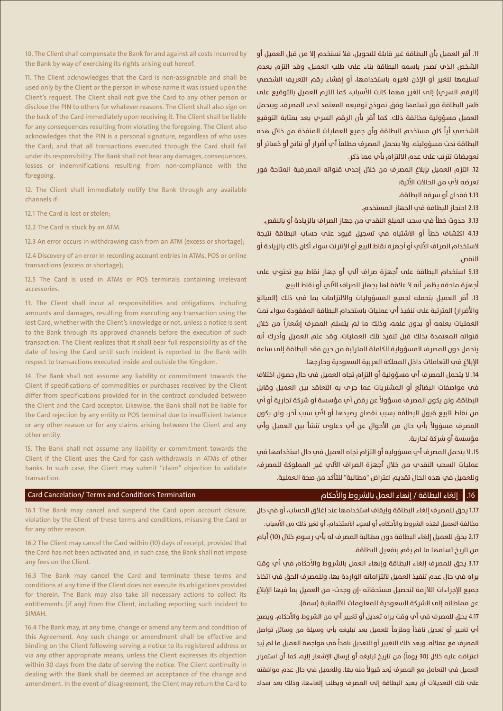10. The Client shall compensate the Bank for and against all costs incurred by the Bank by way of exercising its rights arising out hereof.

11. The Client acknowledges that the Card is non-assignable and shall be used only by the Client or the person in whose name it was issued upon the Client's request. The Client shall not give the Card to any other person or disclose the PIN to others for whatever reasons. The Client shall also sign on the back of the Card immediately upon receiving it. The Client shall be liable for any consequences resulting from violating the foregoing. The Client also acknowledges that the PIN is a personal signature, regardless of who uses the Card; and that all transactions executed through the Card shall fall under its responsibility. The Bank shall not bear any damages, consequences, losses or indemnifications resulting from non-compliance with the foregoing.

12. The Client shall immediately notify the Bank through any available channels if:

12.1 The Card is lost or stolen;

12.2 The Card is stuck by an ATM.

12.3 An error occurs in withdrawing cash from an ATM (excess or shortage);

12.4 Discovery of an error in recording account entries in ATMs, POS or online transactions (excess or shortage);

12.5 The Card is used in ATMs or POS terminals containing irrelevant accessories.

13. The Client shall incur all responsibilities and obligations, including amounts and damages, resulting from executing any transaction using the lost Card, whether with the Client's knowledge or not, unless a notice is sent to the Bank through its approved channels before the execution of such transaction. The Client realizes that it shall bear full responsibility as of the date of losing the Card until such incident is reported to the Bank with respect to transactions executed inside and outside the Kingdom.

14. The Bank shall not assume any liability or commitment towards the Client if specifications of commodities or purchases received by the Client differ from specifications provided for in the contract concluded between the Client and the Card acceptor. Likewise, the Bank shall not be liable for the Card rejection by any entity or POS terminal due to insufficient balance or any other reason or for any claims arising between the Client and any other entity.

15. The Bank shall not assume any liability or commitment towards the Client if the Client uses the Card for cash withdrawals in ATMs of other banks. In such case, the Client may submit "claim" objection to validate transaction.

### Card Cancelation/ Terms and Conditions Termination

من نقاط البيع قبول البطاقة بسبب نقصان رصيدها او لاپ سبب اخر، ولن يكون .<br>المصرف مسؤولاً بأي حال من الأحوال عن أب دعاوِ تنشأ بين العميل وأب مؤسسة أو شركة تجارية. 15. لا يتحمل المصر ف أب مسؤولية أو التزام تحاه العميل في حال استخدامها في عمليات السحب النقدي من خلال أجهزة الصراف الآلي غير المملوكة للمصرف،

11. أقر العميل بأن البطاقة غير قابلة للتحويل، فلا تستخدم إلا من قبل العميل أو .<br>الشخص الذي تصدر باسمه البطاقة بناء على طلب العميل، وقد التزم بعدم .<br>تسليمها للغير أو الإذن لغيره باستخدامها، أو إفشاء رقم التعريف الشخصي (الرقم السرم) إلى الغير مهما كانت الأسباب، كما التزم العميل بالتوقيع علي ظهر البطاقة فور تسلمها وفق نموذج توقيعه المعتمد لدم المصرف، ويتحمل العميل مسؤولية مخالفة ذلك. كما أقر بأن الرقم السري يعد بمثابة التوقيع .<br>الشخصي أياً كان مستخدم البطاقة وأن جميع العمليات المنفذة من خلال هذه البطاقة تحت مسؤوليته. ولا يتحمل المصرف مطلقاً أب أضرار أو نتائج أو خسائر أو

12. التزم العميل بإبلاغ المصرف من خلال إحدم قنواته المصرفية المتاحة فور

3.13 حدوث خطأ فم سحب المبلغ النقدم من حهاز الصراف بالزبادة أو بالنقص. 4.13 اكتشاف خطأ أو الاشتباه في تسجيل قيود علم حساب البطاقة نتيجة لاستخدام الصراف الالي أو أجهزة نقاط البيع أو الإنترنت سواء آكان ذلك بالزيادة أو

5.13 استخدام البطاقة على اجهزة صراف الي او جهاز نقاط بيع تحتوي على

.<br>13. أقر العميل بتحمله لجميع المسؤوليات والالتزامات بما في ذلك (المبالغ والأضرار) المترتىة على تنفيذ أب عمليات باستخدام البطاقة المفقودة سواء تمت .<br>العمليات بعلمه أو بدون علمه، وذلك ما لم يتسلم المصرف إشعاراً من خلال قنواته المعتمدة بذلك قبل تنفيذ تلك العمليات، وقد علم العميل وأدرك أنه يتحمل دون المصرف المسؤولية الكاملة المترتبة من حين فقد البطاقة إلى ساعة

14. لا يتحمل المصرف أبٍ مسؤولية أو التزام تجاه العميل في حال حصول اختلاف في مواصفات البضائع أو المشتريات عما جرـم به التعاقد بين العميل وقابل .<br>البطاقة، ولن يكون المصرف مسؤولاً عن رفض أب مؤسسة أو شركة تجارية أو أب

اجهزة ملحقة يظهر انه لا علاقة لها بجهاز الصراف الالي او نقاط البيع.

الإيلاغ في التعاملات داخل المملكة العربية السعودية وخارجها.

تعويضات تترتب علم عدم الالتزام بأم مما ذكر.

.<br>2.13 احتجاز البطاقة في الجهاز المستخدم.

تعرضه لأمر من الحالات الآتية: 1.13 فقدان أو سرقة البطاقة.

אà.

وللعميل في هذه الحال تقديم اعتراض "مطالبة" للتأكد من صحة العملية.

## 16. [الغاء البطاقة / إنهاء العمل بالشروط والأحكام

16.1 The Bank may cancel and suspend the Card upon account closure, violation by the Client of these terms and conditions, misusing the Card or for any other reason.

16.2 The Client may cancel the Card within (10) days of receipt, provided that the Card has not been activated and, in such case, the Bank shall not impose any fees on the Client.

16.3 The Bank may cancel the Card and terminate these terms and conditions at any time if the Client does not execute its obligations provided for therein. The Bank may also take all necessary actions to collect its entitlements (if any) from the Client, including reporting such incident to SIMAH.

16.4 The Bank may, at any time, change or amend any term and condition of this Agreement. Any such change or amendment shall be effective and binding on the Client following serving a notice to its registered address or via any other appropriate means, unless the Client expresses its objection within 30 days from the date of serving the notice. The Client continuity in dealing with the Bank shall be deemed an acceptance of the change and amendment. In the event of disagreement, the Client may return the Card to

1.17 يحق للمصر ف إلغاء البطاقة وإيقاف استخدامها عند إغلاق الحساب، أو في حال مخالفة العميل لهذه الشروط والاحكام، او لسوء الاستخدام، او لغير ذلك من الاسباب. 2.17 يحق للعميل إلغاء البطاقة دون مطالبة المصرف له بأب رسوم خلال (10) أيام من تاريخ تسلمها ما لم يقم بتفعيل البطاقة.

3.17 يحق للمصرف إلغاء البطاقة وإنهاء العمل بالشروط والاحكام فب اب وقت يراه في حال عدم تنفيذ العميل لالتزاماته الواردة بها، وللمصرف الحق في اتخاذ جميع الإجراءات اللازمة لتحصيل مستحقاته -إن وجدت- من العميل بما فيها الإبلاغ عن مماطلته إلى الشركة السعودية للمعلومات الائتمانية (سمة).

4.17 يحق للمصرف في أب وقت يراه تعديل أو تغيير أب من الشروط والأحكام، ويصبح .<br>أي تغيير أو تعديل نافذاً وملزماً للعميل بعد تبليغه بأي وسيلة من وسائل تواصل .<br>المصرف مع عملائه، ويعد ذلك التغيير أو التعديل نافذاً في مواجهة العميل ما لم يُبدِ .<br>اعتراضه عليه خلال (30 يوماً) من تاريخ تبليغه أو إرسال الإشعار إليه، كما أن استمرار .<br>العميل في التعامل مع المصرف يُعد قبولاً منه بها. وللعميل في حال عدم موافقته علم تلك التعديلات ان يعيد البطاقة إلم المصرف ويطلب إلغاءها، وذلك بعد سداد